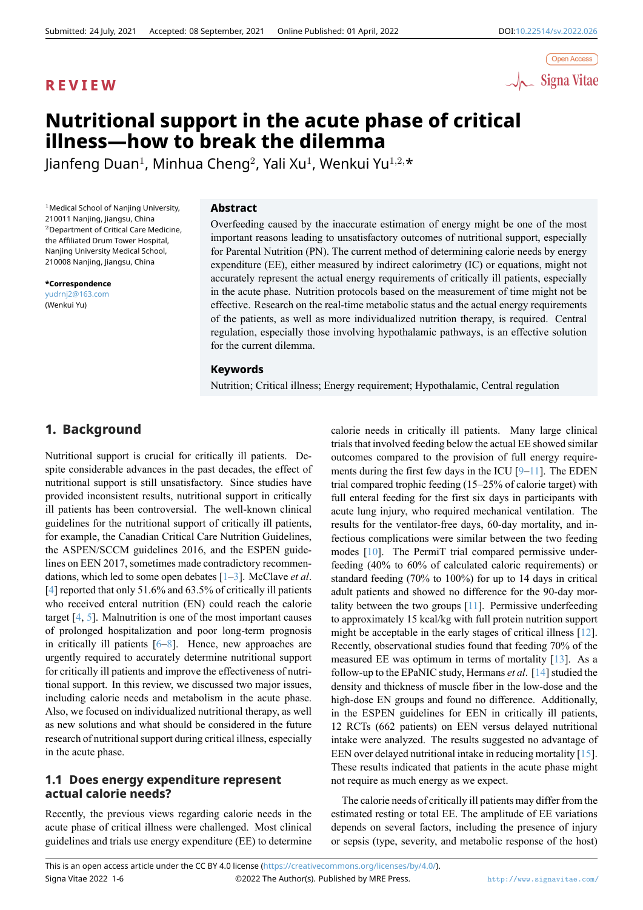

# **Nutritional support in the acute phase of critical illness—how to break the dilemma**

Jianfeng Duan<sup>1</sup> , Minhua Cheng<sup>2</sup> , Yali Xu<sup>1</sup> , Wenkui Yu<sup>1</sup>*,*2*,*\*

 $<sup>1</sup>$  Medical School of Nanjing University,</sup> 210011 Nanjing, Jiangsu, China <sup>2</sup>Department of Critical Care Medicine, the Affiliated Drum Tower Hospital, Nanjing University Medical School, 210008 Nanjing, Jiangsu, China

**\*Correspondence** yudrnj2@163.com (Wenkui Yu)

## **Abstract**

Overfeeding caused by the inaccurate estimation of energy might be one of the most important reasons leading to unsatisfactory outcomes of nutritional support, especially for Parental Nutrition (PN). The current method of determining calorie needs by energy expenditure (EE), either measured by indirect calorimetry (IC) or equations, might not accurately represent the actual energy requirements of critically ill patients, especially in the acute phase. Nutrition protocols based on the measurement of time might not be effective. Research on the real-time metabolic status and the actual energy requirements of the patients, as well as more individualized nutrition therapy, is required. Central regulation, especially those involving hypothalamic pathways, is an effective solution for the current dilemma.

### **Keywords**

Nutrition; Critical illness; Energy requirement; Hypothalamic, Central regulation

# **1. Background**

Nutritional support is crucial for critically ill patients. Despite considerable advances in the past decades, the effect of nutritional support is still unsatisfactory. Since studies have provided inconsistent results, nutritional support in critically ill patients has been controversial. The well-known clinical guidelines for the nutritional support of critically ill patients, for example, the Canadian Critical Care Nutrition Guidelines, the ASPEN/SCCM guidelines 2016, and the ESPEN guidelines on EEN 2017, sometimes made contradictory recommendations, which led to some open debates [1–3]. McClave *et al*. [4] reported that only 51.6% and 63.5% of critically ill patients who received enteral nutrition (EN) could reach the calorie target [4, 5]. Malnutrition is one of the most important causes of prolonged hospitalization and poor [lo](#page-3-0)[ng](#page-3-1)-term prognosis i[n](#page-3-2) critically ill patients [6–8]. Hence, new approaches are urgently required to accurately determine nutritional support for crit[ic](#page-3-2)[all](#page-3-3)y ill patients and improve the effectiveness of nutritional support. In this review, we discussed two major issues, including calorie needs [an](#page-3-4)[d m](#page-3-5)etabolism in the acute phase. Also, we focused on individualized nutritional therapy, as well as new solutions and what should be considered in the future research of nutritional support during critical illness, especially in the acute phase.

# **1.1 Does energy expenditure represent actual calorie needs?**

Recently, the previous views regarding calorie needs in the acute phase of critical illness were challenged. Most clinical guidelines and trials use energy expenditure (EE) to determine calorie needs in critically ill patients. Many large clinical trials that involved feeding below the actual EE showed similar outcomes compared to the provision of full energy requirements during the first few days in the ICU  $[9-11]$ . The EDEN trial compared trophic feeding (15–25% of calorie target) with full enteral feeding for the first six days in participants with acute lung injury, who required mechanical ventilation. The results for the ventilator-free days, 60-day [m](#page-3-6)[ort](#page-4-0)ality, and infectious complications were similar between the two feeding modes [10]. The PermiT trial compared permissive underfeeding (40% to 60% of calculated caloric requirements) or standard feeding (70% to 100%) for up to 14 days in critical adult patients and showed no difference for the 90-day mortality be[twe](#page-3-7)en the two groups [11]. Permissive underfeeding to approximately 15 kcal/kg with full protein nutrition support might be acceptable in the early stages of critical illness [12]. Recently, observational studies found that feeding 70% of the measured EE was optimum in [ter](#page-4-0)ms of mortality [13]. As a follow-up to the EPaNIC study, Hermans *et al*. [14] studied the density and thickness of muscle fiber in the low-dose an[d th](#page-4-1)e high-dose EN groups and found no difference. Additionally, in the ESPEN guidelines for EEN in critically il[l p](#page-4-2)atients, 12 RCTs (662 patients) on EEN versus dela[yed](#page-4-3) nutritional intake were analyzed. The results suggested no advantage of EEN over delayed nutritional intake in reducing mortality [15]. These results indicated that patients in the acute phase might not require as much energy as we expect.

The calorie needs of critically ill patients may differ fro[m th](#page-4-4)e estimated resting or total EE. The amplitude of EE variations depends on several factors, including the presence of injury or sepsis (type, severity, and metabolic response of the host)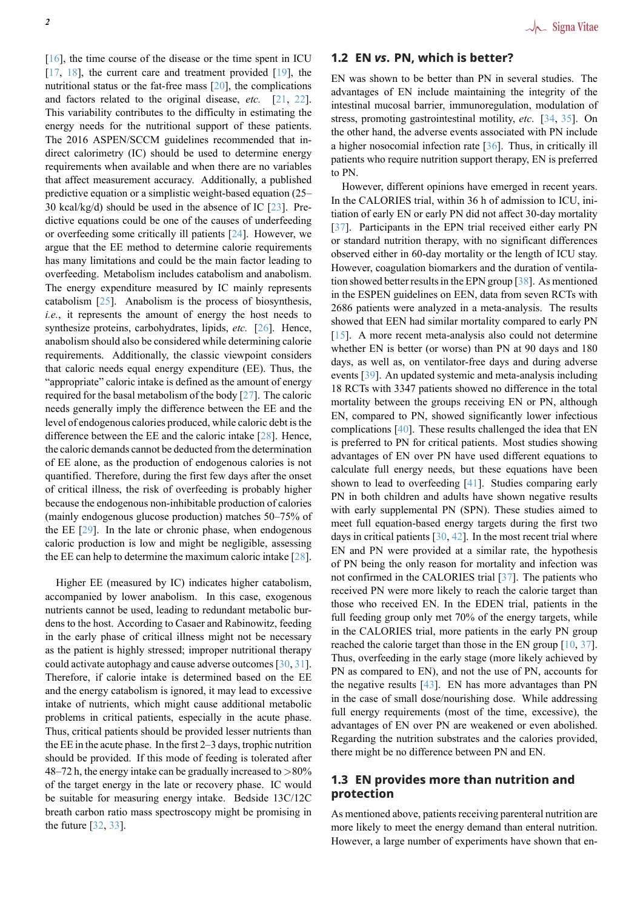[16], the time course of the disease or the time spent in ICU  $[17, 18]$ , the current care and treatment provided  $[19]$ , the nutritional status or the fat-free mass [20], the complications and factors related to the original disease, *etc.* [21, 22]. [Thi](#page-4-5)s variability contributes to the difficulty in estimating the [ene](#page-4-6)r[gy](#page-4-7) needs for the nutritional support of these [pat](#page-4-8)ients. The 2016 ASPEN/SCCM guidelines [rec](#page-4-9)ommended that indirect calorimetry (IC) should be used to determin[e e](#page-4-10)n[erg](#page-4-11)y requirements when available and when there are no variables that affect measurement accuracy. Additionally, a published predictive equation or a simplistic weight-based equation (25– 30 kcal/kg/d) should be used in the absence of IC [23]. Predictive equations could be one of the causes of underfeeding or overfeeding some critically ill patients [24]. However, we argue that the EE method to determine calorie requirements has many limitations and could be the main factor [lead](#page-4-12)ing to overfeeding. Metabolism includes catabolism and anabolism. The energy expenditure measured by IC [ma](#page-4-13)inly represents catabolism  $[25]$ . Anabolism is the process of biosynthesis, *i.e.*, it represents the amount of energy the host needs to synthesize proteins, carbohydrates, lipids, *etc.* [26]. Hence, anabolism should also be considered while determining calorie requirement[s.](#page-4-14) Additionally, the classic viewpoint considers that caloric needs equal energy expenditure (EE). Thus, the "appropriate" caloric intake is defined as the amo[unt](#page-4-15) of energy required for the basal metabolism of the body [27]. The caloric needs generally imply the difference between the EE and the level of endogenous calories produced, while caloric debt is the difference between the EE and the caloric intake [28]. Hence, the caloric demands cannot be deducted from t[he d](#page-4-16)etermination of EE alone, as the production of endogenous calories is not quantified. Therefore, during the first few days after the onset of critical illness, the risk of overfeeding is pro[bab](#page-4-17)ly higher because the endogenous non-inhibitable production of calories (mainly endogenous glucose production) matches 50–75% of the EE [29]. In the late or chronic phase, when endogenous caloric production is low and might be negligible, assessing the EE can help to determine the maximum caloric intake [28].

High[er E](#page-4-18)E (measured by IC) indicates higher catabolism, accompanied by lower anabolism. In this case, exogenous nutrients cannot be used, leading to redundant metabolic [bur](#page-4-17)dens to the host. According to Casaer and Rabinowitz, feeding in the early phase of critical illness might not be necessary as the patient is highly stressed; improper nutritional therapy could activate autophagy and cause adverse outcomes [30, 31]. Therefore, if calorie intake is determined based on the EE and the energy catabolism is ignored, it may lead to excessive intake of nutrients, which might cause additional metabolic problems in critical patients, especially in the acut[e p](#page-4-19)[hase](#page-4-20). Thus, critical patients should be provided lesser nutrients than the EE in the acute phase. In the first 2–3 days, trophic nutrition should be provided. If this mode of feeding is tolerated after 48–72 h, the energy intake can be gradually increased to *>*80% of the target energy in the late or recovery phase. IC would be suitable for measuring energy intake. Bedside 13C/12C breath carbon ratio mass spectroscopy might be promising in the future [32, 33].

## **1.2 EN** *vs***. PN, which is better?**

EN was shown to be better than PN in several studies. The advantages of EN include maintaining the integrity of the intestinal mucosal barrier, immunoregulation, modulation of stress, promoting gastrointestinal motility, *etc*. [34, 35]. On the other hand, the adverse events associated with PN include a higher nosocomial infection rate [36]. Thus, in critically ill patients who require nutrition support therapy, EN is preferred to PN.

However, different opinions have emerged in recent years. In the CALORIES trial, within 36 h [of](#page-4-21) admission to ICU, initiation of early EN or early PN did not affect 30-day mortality [37]. Participants in the EPN trial received either early PN or standard nutrition therapy, with no significant differences observed either in 60-day mortality or the length of ICU stay. However, coagulation biomarkers and the duration of ventilat[ion](#page-4-22) showed better results in the EPN group  $\lceil 38 \rceil$ . As mentioned in the ESPEN guidelines on EEN, data from seven RCTs with 2686 patients were analyzed in a meta-analysis. The results showed that EEN had similar mortality compared to early PN [15]. A more recent meta-analysis also c[ould](#page-4-23) not determine whether EN is better (or worse) than PN at 90 days and 180 days, as well as, on ventilator-free days and during adverse events [39]. An updated systemic and meta-analysis including [18 R](#page-4-4)CTs with 3347 patients showed no difference in the total mortality between the groups receiving EN or PN, although EN, compared to PN, showed significantly lower infectious compli[cati](#page-4-24)ons [40]. These results challenged the idea that EN is preferred to PN for critical patients. Most studies showing advantages of EN over PN have used different equations to calculate full energy needs, but these equations have been shown to lead [to](#page-4-25) overfeeding [41]. Studies comparing early PN in both children and adults have shown negative results with early supplemental PN (SPN). These studies aimed to meet full equation-based energy targets during the first two days in critical patients [30, 42][. In](#page-4-26) the most recent trial where EN and PN were provided at a similar rate, the hypothesis of PN being the only reason for mortality and infection was not confirmed in the CALORIES trial [37]. The patients who received PN were more [lik](#page-4-19)[ely](#page-4-27) to reach the calorie target than those who received EN. In the EDEN trial, patients in the full feeding group only met 70% of the energy targets, while in the CALORIES trial, more patients [in](#page-4-22) the early PN group reached the calorie target than those in the EN group [10, 37]. Thus, overfeeding in the early stage (more likely achieved by PN as compared to EN), and not the use of PN, accounts for the negative results  $[43]$ . EN has more advantages than PN in the case of small dose/nourishing dose. While ad[dres](#page-3-7)[sin](#page-4-22)g full energy requirements (most of the time, excessive), the advantages of EN over PN are weakened or even abolished. Regarding the nutriti[on](#page-4-28) substrates and the calories provided, there might be no difference between PN and EN.

# **1.3 EN provides more than nutrition and protection**

As mentioned above, patients receiving parenteral nutrition are more likely to meet the energy demand than enteral nutrition. However, a large number of experiments have shown that en-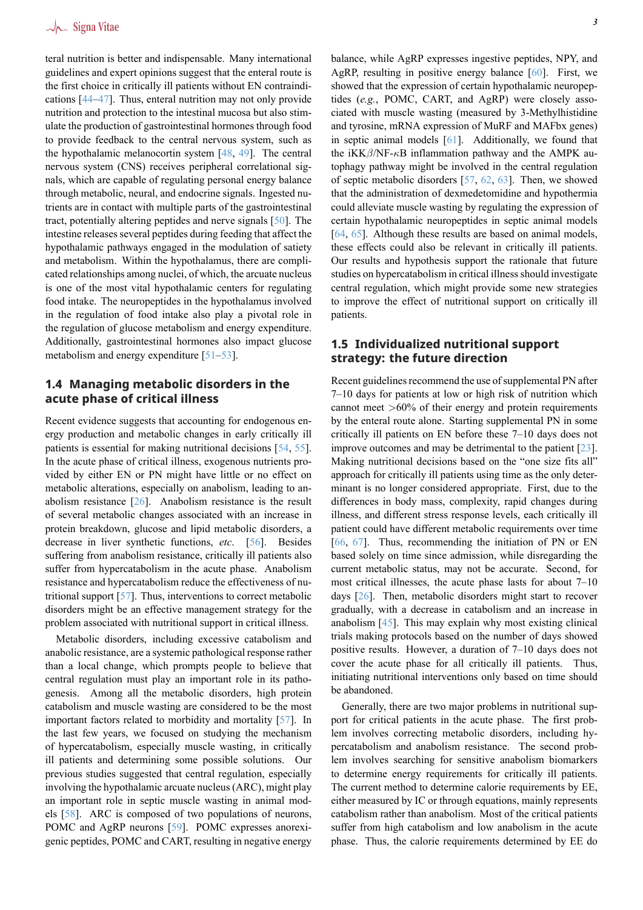teral nutrition is better and indispensable. Many international guidelines and expert opinions suggest that the enteral route is the first choice in critically ill patients without EN contraindications [44–47]. Thus, enteral nutrition may not only provide nutrition and protection to the intestinal mucosa but also stimulate the production of gastrointestinal hormones through food to provide feedback to the central nervous system, such as the hyp[otha](#page-4-29)[lam](#page-4-30)ic melanocortin system [48, 49]. The central nervous system (CNS) receives peripheral correlational signals, which are capable of regulating personal energy balance through metabolic, neural, and endocrine signals. Ingested nutrients are in contact with multiple parts [of t](#page-4-31)[he g](#page-4-32)astrointestinal tract, potentially altering peptides and nerve signals [50]. The intestine releases several peptides during feeding that affect the hypothalamic pathways engaged in the modulation of satiety and metabolism. Within the hypothalamus, there are complicated relationships among nuclei, of which, the arcuat[e nu](#page-4-33)cleus is one of the most vital hypothalamic centers for regulating food intake. The neuropeptides in the hypothalamus involved in the regulation of food intake also play a pivotal role in the regulation of glucose metabolism and energy expenditure. Additionally, gastrointestinal hormones also impact glucose metabolism and energy expenditure [51–53].

## **1.4 Managing metabolic disorders in the acute phase of critical illn[ess](#page-4-34)**

Recent evidence suggests that accounting for endogenous energy production and metabolic changes in early critically ill patients is essential for making nutritional decisions [54, 55]. In the acute phase of critical illness, exogenous nutrients provided by either EN or PN might have little or no effect on metabolic alterations, especially on anabolism, leading to anabolism resistance  $\lceil 26 \rceil$ . Anabolism resistance is t[he r](#page-4-35)[esu](#page-4-36)lt of several metabolic changes associated with an increase in protein breakdown, glucose and lipid metabolic disorders, a decrease in liver synthetic functions, *etc*. [56]. Besides suffering from anab[olis](#page-4-15)m resistance, critically ill patients also suffer from hypercatabolism in the acute phase. Anabolism resistance and hypercatabolism reduce the effectiveness of nutritional support [57]. Thus, interventions to co[rrec](#page-5-0)t metabolic disorders might be an effective management strategy for the problem associated with nutritional support in critical illness.

Metabolic disorders, including excessive catabolism and anabolic resistan[ce,](#page-5-1) are a systemic pathological response rather than a local change, which prompts people to believe that central regulation must play an important role in its pathogenesis. Among all the metabolic disorders, high protein catabolism and muscle wasting are considered to be the most important factors related to morbidity and mortality [57]. In the last few years, we focused on studying the mechanism of hypercatabolism, especially muscle wasting, in critically ill patients and determining some possible solutions. Our previous studies suggested that central regulation, es[pec](#page-5-1)ially involving the hypothalamic arcuate nucleus (ARC), might play an important role in septic muscle wasting in animal models [58]. ARC is composed of two populations of neurons, POMC and AgRP neurons [59]. POMC expresses anorexigenic peptides, POMC and CART, resulting in negative energy balance, while AgRP expresses ingestive peptides, NPY, and AgRP, resulting in positive energy balance [60]. First, we showed that the expression of certain hypothalamic neuropeptides (*e.g.*, POMC, CART, and AgRP) were closely associated with muscle wasting (measured by 3-Methylhistidine and tyrosine, mRNA expression of MuRF and [M](#page-5-2)AFbx genes) in septic animal models [61]. Additionally, we found that the iKK*β*/NF-*κ*B inflammation pathway and the AMPK autophagy pathway might be involved in the central regulation of septic metabolic disorders [57, 62, 63]. Then, we showed that the administration of [dex](#page-5-3)medetomidine and hypothermia could alleviate muscle wasting by regulating the expression of certain hypothalamic neuropeptides in septic animal models [64, 65]. Although these resul[ts a](#page-5-1)[re b](#page-5-4)[ase](#page-5-5)d on animal models, these effects could also be relevant in critically ill patients. Our results and hypothesis support the rationale that future studies on hypercatabolism in critical illness should investigate [cen](#page-5-6)t[ral](#page-5-7) regulation, which might provide some new strategies to improve the effect of nutritional support on critically ill patients.

# **1.5 Individualized nutritional support strategy: the future direction**

Recent guidelines recommend the use of supplemental PN after 7–10 days for patients at low or high risk of nutrition which cannot meet *>*60% of their energy and protein requirements by the enteral route alone. Starting supplemental PN in some critically ill patients on EN before these 7–10 days does not improve outcomes and may be detrimental to the patient [23]. Making nutritional decisions based on the "one size fits all" approach for critically ill patients using time as the only determinant is no longer considered appropriate. First, due to the differences in body mass, complexity, rapid changes du[rin](#page-4-12)g illness, and different stress response levels, each critically ill patient could have different metabolic requirements over time [66, 67]. Thus, recommending the initiation of PN or EN based solely on time since admission, while disregarding the current metabolic status, may not be accurate. Second, for most critical illnesses, the acute phase lasts for about 7–10 [day](#page-5-8)s [\[26](#page-5-9)]. Then, metabolic disorders might start to recover gradually, with a decrease in catabolism and an increase in anabolism [45]. This may explain why most existing clinical trials making protocols based on the number of days showed positi[ve r](#page-4-15)esults. However, a duration of 7–10 days does not cover the acute phase for all critically ill patients. Thus, initiating n[utri](#page-4-37)tional interventions only based on time should be abandoned.

Generally, there are two major problems in nutritional support for critical patients in the acute phase. The first problem involves correcting metabolic disorders, including hypercatabolism and anabolism resistance. The second problem involves searching for sensitive anabolism biomarkers to determine energy requirements for critically ill patients. The current method to determine calorie requirements by EE, either measured by IC or through equations, mainly represents catabolism rather than anabolism. Most of the critical patients suffer from high catabolism and low anabolism in the acute phase. Thus, the calorie requirements determined by EE do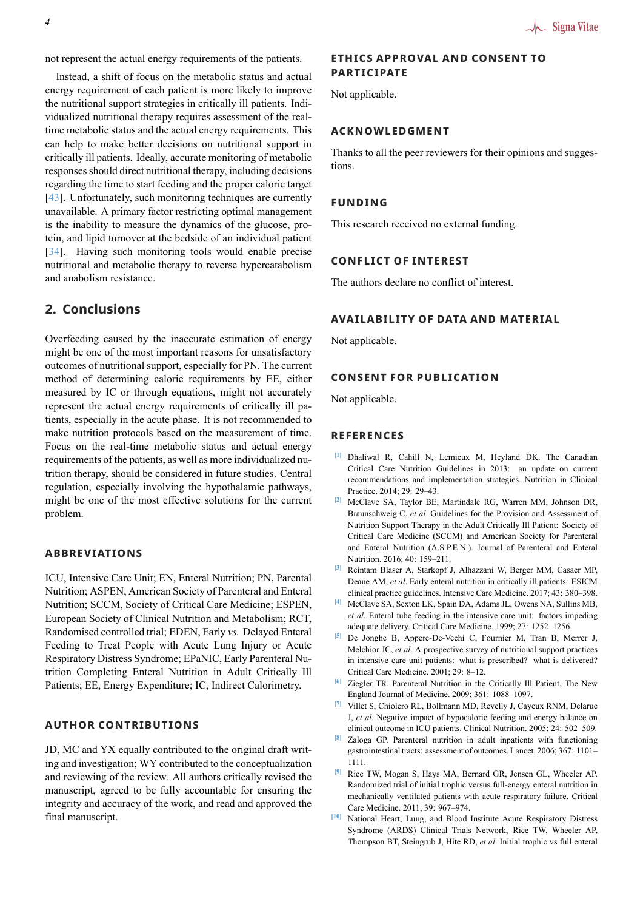not represent the actual energy requirements of the patients.

Instead, a shift of focus on the metabolic status and actual energy requirement of each patient is more likely to improve the nutritional support strategies in critically ill patients. Individualized nutritional therapy requires assessment of the realtime metabolic status and the actual energy requirements. This can help to make better decisions on nutritional support in critically ill patients. Ideally, accurate monitoring of metabolic responses should direct nutritional therapy, including decisions regarding the time to start feeding and the proper calorie target [43]. Unfortunately, such monitoring techniques are currently unavailable. A primary factor restricting optimal management is the inability to measure the dynamics of the glucose, protein, and lipid turnover at the bedside of an individual patient [\[34](#page-4-28)]. Having such monitoring tools would enable precise nutritional and metabolic therapy to reverse hypercatabolism and anabolism resistance.

# **[2.](#page-4-38) Conclusions**

Overfeeding caused by the inaccurate estimation of energy might be one of the most important reasons for unsatisfactory outcomes of nutritional support, especially for PN. The current method of determining calorie requirements by EE, either measured by IC or through equations, might not accurately represent the actual energy requirements of critically ill patients, especially in the acute phase. It is not recommended to make nutrition protocols based on the measurement of time. Focus on the real-time metabolic status and actual energy requirements of the patients, as well as more individualized nutrition therapy, should be considered in future studies. Central regulation, especially involving the hypothalamic pathways, might be one of the most effective solutions for the current problem.

## **ABBREVIATIONS**

ICU, Intensive Care Unit; EN, Enteral Nutrition; PN, Parental Nutrition; ASPEN, American Society of Parenteral and Enteral Nutrition; SCCM, Society of Critical Care Medicine; ESPEN, European Society of Clinical Nutrition and Metabolism; RCT, Randomised controlled trial; EDEN, Early *vs.* Delayed Enteral Feeding to Treat People with Acute Lung Injury or Acute Respiratory Distress Syndrome; EPaNIC, Early Parenteral Nutrition Completing Enteral Nutrition in Adult Critically Ill Patients; EE, Energy Expenditure; IC, Indirect Calorimetry.

### **AUTHOR CONTRIBUTIONS**

JD, MC and YX equally contributed to the original draft writing and investigation; WY contributed to the conceptualization and reviewing of the review. All authors critically revised the manuscript, agreed to be fully accountable for ensuring the integrity and accuracy of the work, and read and approved the final manuscript.

## **ETHICS APPROVAL AND CONSENT TO PARTICIPATE**

Not applicable.

#### **ACKNOWLEDGMENT**

Thanks to all the peer reviewers for their opinions and suggestions.

## **FUNDING**

This research received no external funding.

### **CONFLICT OF INTEREST**

The authors declare no conflict of interest.

#### **AVAILABILITY OF DATA AND MATERIAL**

Not applicable.

#### **CONSENT FOR PUBLICATION**

Not applicable.

#### **REFERENCES**

- **[1]** Dhaliwal R, Cahill N, Lemieux M, Heyland DK. The Canadian Critical Care Nutrition Guidelines in 2013: an update on current recommendations and implementation strategies. Nutrition in Clinical Practice. 2014; 29: 29–43.
- <span id="page-3-0"></span>**[2]** McClave SA, Taylor BE, Martindale RG, Warren MM, Johnson DR, Braunschweig C, *et al*. Guidelines for the Provision and Assessment of Nutrition Support Therapy in the Adult Critically Ill Patient: Society of Critical Care Medicine (SCCM) and American Society for Parenteral and Enteral Nutrition (A.S.P.E.N.). Journal of Parenteral and Enteral Nutrition. 2016; 40: 159–211.
- **[3]** Reintam Blaser A, Starkopf J, Alhazzani W, Berger MM, Casaer MP, Deane AM, *et al*. Early enteral nutrition in critically ill patients: ESICM clinical practice guidelines. Intensive Care Medicine. 2017; 43: 380–398.
- <span id="page-3-1"></span>**[4]** McClave SA, Sexton LK, Spain DA, Adams JL, Owens NA, Sullins MB, *et al*. Enteral tube feeding in the intensive care unit: factors impeding adequate delivery. Critical Care Medicine. 1999; 27: 1252–1256.
- <span id="page-3-2"></span>**[5]** De Jonghe B, Appere-De-Vechi C, Fournier M, Tran B, Merrer J, Melchior JC, *et al*. A prospective survey of nutritional support practices in intensive care unit patients: what is prescribed? what is delivered? Critical Care Medicine. 2001; 29: 8–12.
- <span id="page-3-3"></span>**[6]** Ziegler TR. Parenteral Nutrition in the Critically Ill Patient. The New England Journal of Medicine. 2009; 361: 1088–1097.
- **[7]** Villet S, Chiolero RL, Bollmann MD, Revelly J, Cayeux RNM, Delarue J, *et al*. Negative impact of hypocaloric feeding and energy balance on clinical outcome in ICU patients. Clinical Nutrition. 2005; 24: 502–509.
- <span id="page-3-4"></span>**[8]** Zaloga GP. Parenteral nutrition in adult inpatients with functioning gastrointestinal tracts: assessment of outcomes. Lancet. 2006; 367: 1101– 1111.
- <span id="page-3-5"></span>**[9]** Rice TW, Mogan S, Hays MA, Bernard GR, Jensen GL, Wheeler AP. Randomized trial of initial trophic versus full-energy enteral nutrition in mechanically ventilated patients with acute respiratory failure. Critical Care Medicine. 2011; 39: 967–974.
- <span id="page-3-7"></span><span id="page-3-6"></span>**[10]** National Heart, Lung, and Blood Institute Acute Respiratory Distress Syndrome (ARDS) Clinical Trials Network, Rice TW, Wheeler AP, Thompson BT, Steingrub J, Hite RD, *et al*. Initial trophic vs full enteral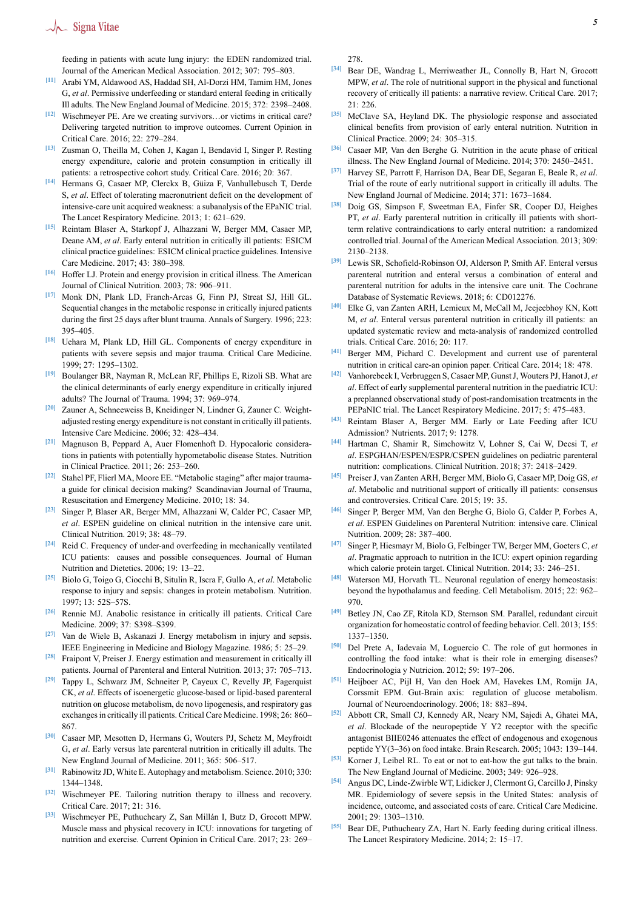# $\sqrt{\phantom{a}}$  Signa Vitae

feeding in patients with acute lung injury: the EDEN randomized trial. Journal of the American Medical Association. 2012; 307: 795–803.

- <span id="page-4-0"></span>**[11]** Arabi YM, Aldawood AS, Haddad SH, Al-Dorzi HM, Tamim HM, Jones G, *et al*. Permissive underfeeding or standard enteral feeding in critically Ill adults. The New England Journal of Medicine. 2015; 372: 2398–2408.
- <span id="page-4-1"></span>**[12]** Wischmeyer PE. Are we creating survivors…or victims in critical care? Delivering targeted nutrition to improve outcomes. Current Opinion in Critical Care. 2016; 22: 279–284.
- <span id="page-4-2"></span>**[13]** Zusman O, Theilla M, Cohen J, Kagan I, Bendavid I, Singer P. Resting energy expenditure, calorie and protein consumption in critically ill patients: a retrospective cohort study. Critical Care. 2016; 20: 367.
- <span id="page-4-3"></span>**[14]** Hermans G, Casaer MP, Clerckx B, Güiza F, Vanhullebusch T, Derde S, *et al*. Effect of tolerating macronutrient deficit on the development of intensive-care unit acquired weakness: a subanalysis of the EPaNIC trial. The Lancet Respiratory Medicine. 2013; 1: 621–629.
- <span id="page-4-4"></span>**[15]** Reintam Blaser A, Starkopf J, Alhazzani W, Berger MM, Casaer MP, Deane AM, *et al*. Early enteral nutrition in critically ill patients: ESICM clinical practice guidelines: ESICM clinical practice guidelines. Intensive Care Medicine. 2017; 43: 380–398.
- <span id="page-4-5"></span>**[16]** Hoffer LJ. Protein and energy provision in critical illness. The American Journal of Clinical Nutrition. 2003; 78: 906–911.
- <span id="page-4-6"></span>**[17]** Monk DN, Plank LD, Franch-Arcas G, Finn PJ, Streat SJ, Hill GL. Sequential changes in the metabolic response in critically injured patients during the first 25 days after blunt trauma. Annals of Surgery. 1996; 223: 395–405.
- <span id="page-4-7"></span>**[18]** Uehara M, Plank LD, Hill GL. Components of energy expenditure in patients with severe sepsis and major trauma. Critical Care Medicine. 1999; 27: 1295–1302.
- <span id="page-4-8"></span>**[19]** Boulanger BR, Nayman R, McLean RF, Phillips E, Rizoli SB. What are the clinical determinants of early energy expenditure in critically injured adults? The Journal of Trauma. 1994; 37: 969–974.
- <span id="page-4-9"></span>**[20]** Zauner A, Schneeweiss B, Kneidinger N, Lindner G, Zauner C. Weightadjusted resting energy expenditure is not constant in critically ill patients. Intensive Care Medicine. 2006; 32: 428–434.
- <span id="page-4-10"></span>**[21]** Magnuson B, Peppard A, Auer Flomenhoft D. Hypocaloric considerations in patients with potentially hypometabolic disease States. Nutrition in Clinical Practice. 2011; 26: 253–260.
- <span id="page-4-11"></span>**[22]** Stahel PF, Flierl MA, Moore EE. "Metabolic staging" after major traumaa guide for clinical decision making? Scandinavian Journal of Trauma, Resuscitation and Emergency Medicine. 2010; 18: 34.
- <span id="page-4-12"></span>**[23]** Singer P, Blaser AR, Berger MM, Alhazzani W, Calder PC, Casaer MP, *et al*. ESPEN guideline on clinical nutrition in the intensive care unit. Clinical Nutrition. 2019; 38: 48–79.
- <span id="page-4-13"></span>**[24]** Reid C. Frequency of under-and overfeeding in mechanically ventilated ICU patients: causes and possible consequences. Journal of Human Nutrition and Dietetics. 2006; 19: 13–22.
- <span id="page-4-14"></span>**[25]** Biolo G, Toigo G, Ciocchi B, Situlin R, Iscra F, Gullo A, *et al*. Metabolic response to injury and sepsis: changes in protein metabolism. Nutrition. 1997; 13: 52S–57S.
- <span id="page-4-15"></span>**[26]** Rennie MJ. Anabolic resistance in critically ill patients. Critical Care Medicine. 2009; 37: S398–S399.
- <span id="page-4-16"></span>**[27]** Van de Wiele B, Askanazi J. Energy metabolism in injury and sepsis. IEEE Engineering in Medicine and Biology Magazine. 1986; 5: 25–29.
- <span id="page-4-17"></span>**[28]** Fraipont V, Preiser J. Energy estimation and measurement in critically ill patients. Journal of Parenteral and Enteral Nutrition. 2013; 37: 705–713.
- <span id="page-4-18"></span>**[29]** Tappy L, Schwarz JM, Schneiter P, Cayeux C, Revelly JP, Fagerquist CK, *et al*. Effects of isoenergetic glucose-based or lipid-based parenteral nutrition on glucose metabolism, de novo lipogenesis, and respiratory gas exchanges in critically ill patients. Critical Care Medicine. 1998; 26: 860– 867.
- <span id="page-4-19"></span>**[30]** Casaer MP, Mesotten D, Hermans G, Wouters PJ, Schetz M, Meyfroidt G, *et al*. Early versus late parenteral nutrition in critically ill adults. The New England Journal of Medicine. 2011; 365: 506–517.
- <span id="page-4-20"></span>**[31]** Rabinowitz JD, White E. Autophagy and metabolism. Science. 2010; 330: 1344–1348.
- **[32]** Wischmeyer PE. Tailoring nutrition therapy to illness and recovery. Critical Care. 2017; 21: 316.
- **[33]** Wischmeyer PE, Puthucheary Z, San Millán I, Butz D, Grocott MPW. Muscle mass and physical recovery in ICU: innovations for targeting of nutrition and exercise. Current Opinion in Critical Care. 2017; 23: 269–

278.

- <span id="page-4-38"></span>**[34]** Bear DE, Wandrag L, Merriweather JL, Connolly B, Hart N, Grocott MPW, *et al*. The role of nutritional support in the physical and functional recovery of critically ill patients: a narrative review. Critical Care. 2017; 21: 226.
- **[35]** McClave SA, Heyland DK. The physiologic response and associated clinical benefits from provision of early enteral nutrition. Nutrition in Clinical Practice. 2009; 24: 305–315.
- <span id="page-4-21"></span>**[36]** Casaer MP, Van den Berghe G. Nutrition in the acute phase of critical illness. The New England Journal of Medicine. 2014; 370: 2450–2451.
- <span id="page-4-22"></span>**[37]** Harvey SE, Parrott F, Harrison DA, Bear DE, Segaran E, Beale R, *et al*. Trial of the route of early nutritional support in critically ill adults. The New England Journal of Medicine. 2014; 371: 1673–1684.
- <span id="page-4-23"></span>**[38]** Doig GS, Simpson F, Sweetman EA, Finfer SR, Cooper DJ, Heighes PT, *et al*. Early parenteral nutrition in critically ill patients with shortterm relative contraindications to early enteral nutrition: a randomized controlled trial. Journal of the American Medical Association. 2013; 309: 2130–2138.
- <span id="page-4-24"></span>**[39]** Lewis SR, Schofield-Robinson OJ, Alderson P, Smith AF. Enteral versus parenteral nutrition and enteral versus a combination of enteral and parenteral nutrition for adults in the intensive care unit. The Cochrane Database of Systematic Reviews. 2018; 6: CD012276.
- <span id="page-4-25"></span>**[40]** Elke G, van Zanten ARH, Lemieux M, McCall M, Jeejeebhoy KN, Kott M, *et al*. Enteral versus parenteral nutrition in critically ill patients: an updated systematic review and meta-analysis of randomized controlled trials. Critical Care. 2016; 20: 117.
- <span id="page-4-26"></span>**[41]** Berger MM, Pichard C. Development and current use of parenteral nutrition in critical care-an opinion paper. Critical Care. 2014; 18: 478.
- <span id="page-4-27"></span>**[42]** Vanhorebeek I, Verbruggen S, Casaer MP, Gunst J, Wouters PJ, Hanot J, *et al*. Effect of early supplemental parenteral nutrition in the paediatric ICU: a preplanned observational study of post-randomisation treatments in the PEPaNIC trial. The Lancet Respiratory Medicine. 2017; 5: 475–483.
- <span id="page-4-28"></span>**[43]** Reintam Blaser A, Berger MM. Early or Late Feeding after ICU Admission? Nutrients. 2017; 9: 1278.
- <span id="page-4-29"></span>**[44]** Hartman C, Shamir R, Simchowitz V, Lohner S, Cai W, Decsi T, *et al*. ESPGHAN/ESPEN/ESPR/CSPEN guidelines on pediatric parenteral nutrition: complications. Clinical Nutrition. 2018; 37: 2418–2429.
- <span id="page-4-37"></span>**[45]** Preiser J, van Zanten ARH, Berger MM, Biolo G, Casaer MP, Doig GS, *et al*. Metabolic and nutritional support of critically ill patients: consensus and controversies. Critical Care. 2015; 19: 35.
- **[46]** Singer P, Berger MM, Van den Berghe G, Biolo G, Calder P, Forbes A, *et al*. ESPEN Guidelines on Parenteral Nutrition: intensive care. Clinical Nutrition. 2009; 28: 387–400.
- <span id="page-4-30"></span>**[47]** Singer P, Hiesmayr M, Biolo G, Felbinger TW, Berger MM, Goeters C, *et al*. Pragmatic approach to nutrition in the ICU: expert opinion regarding which calorie protein target. Clinical Nutrition. 2014; 33: 246–251.
- <span id="page-4-31"></span>**[48]** Waterson MJ, Horvath TL. Neuronal regulation of energy homeostasis: beyond the hypothalamus and feeding. Cell Metabolism. 2015; 22: 962– 970.
- <span id="page-4-32"></span>**[49]** Betley JN, Cao ZF, Ritola KD, Sternson SM. Parallel, redundant circuit organization for homeostatic control of feeding behavior. Cell. 2013; 155: 1337–1350.
- <span id="page-4-33"></span>**[50]** Del Prete A, Iadevaia M, Loguercio C. The role of gut hormones in controlling the food intake: what is their role in emerging diseases? Endocrinologia y Nutricion. 2012; 59: 197–206.
- <span id="page-4-34"></span>**[51]** Heijboer AC, Pijl H, Van den Hoek AM, Havekes LM, Romijn JA, Corssmit EPM. Gut-Brain axis: regulation of glucose metabolism. Journal of Neuroendocrinology. 2006; 18: 883–894.
- **[52]** Abbott CR, Small CJ, Kennedy AR, Neary NM, Sajedi A, Ghatei MA, *et al*. Blockade of the neuropeptide Y Y2 receptor with the specific antagonist BIIE0246 attenuates the effect of endogenous and exogenous peptide YY(3–36) on food intake. Brain Research. 2005; 1043: 139–144.
- **[53]** Korner J, Leibel RL. To eat or not to eat-how the gut talks to the brain. The New England Journal of Medicine. 2003; 349: 926–928.
- <span id="page-4-35"></span>**[54]** Angus DC, Linde-Zwirble WT, Lidicker J, Clermont G, Carcillo J, Pinsky MR. Epidemiology of severe sepsis in the United States: analysis of incidence, outcome, and associated costs of care. Critical Care Medicine. 2001; 29: 1303–1310.
- <span id="page-4-36"></span>**[55]** Bear DE, Puthucheary ZA, Hart N. Early feeding during critical illness. The Lancet Respiratory Medicine. 2014; 2: 15–17.